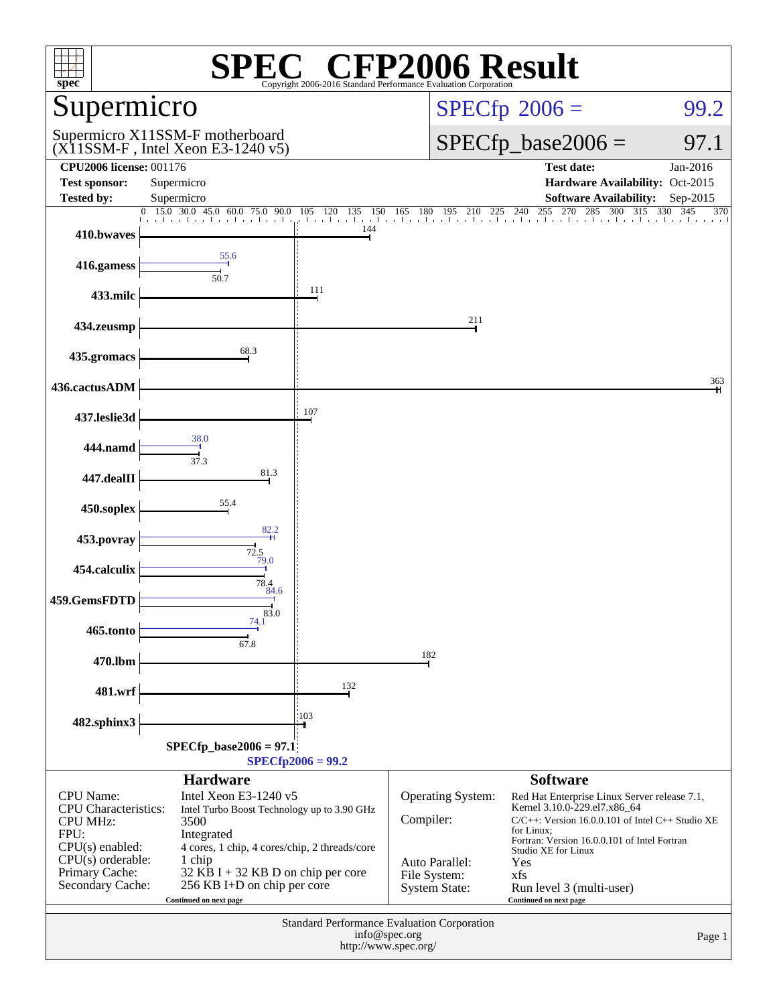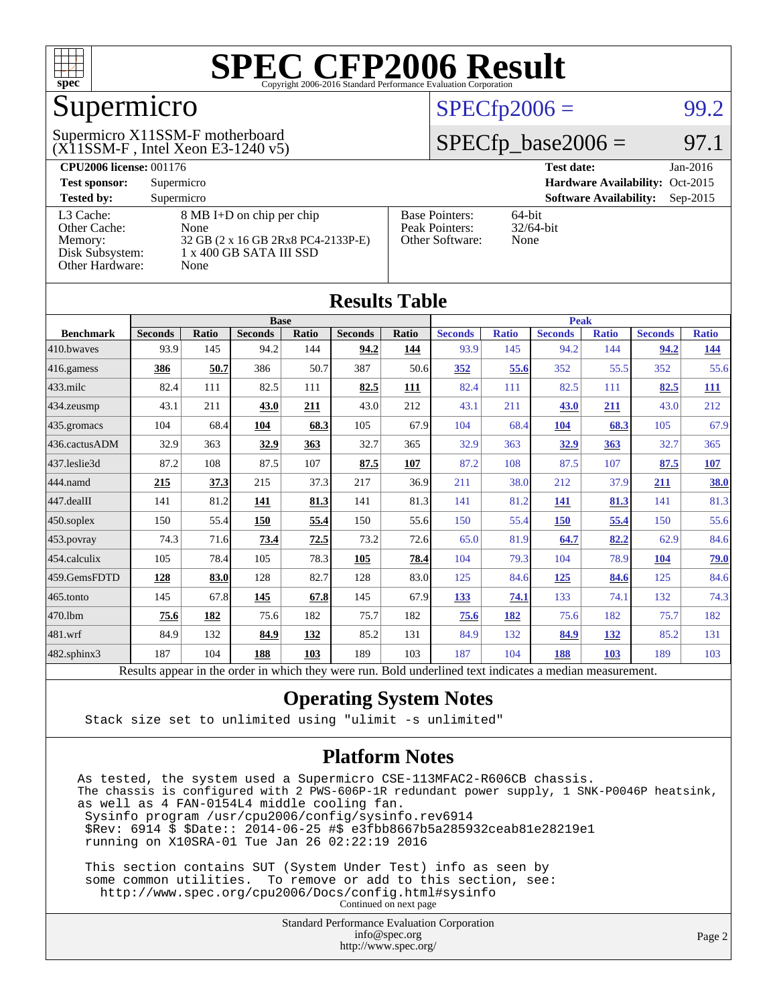

### Supermicro

#### (X11SSM-F , Intel Xeon E3-1240 v5) Supermicro X11SSM-F motherboard

### $SPECTp2006 =$  99.2

### $SPECTp\_base2006 = 97.1$

| <b>CPU2006 license: 001176</b> |                                    | <b>Test date:</b><br>$Jan-2016$ |                                             |
|--------------------------------|------------------------------------|---------------------------------|---------------------------------------------|
| <b>Test sponsor:</b>           | Supermicro                         |                                 | Hardware Availability: Oct-2015             |
| <b>Tested by:</b>              | Supermicro                         |                                 | <b>Software Availability:</b><br>$Sep-2015$ |
| L3 Cache:                      | 8 MB I+D on chip per chip          | <b>Base Pointers:</b>           | $64$ -bit                                   |
| Other Cache:                   | None                               | Peak Pointers:                  | $32/64$ -bit                                |
| Memory:                        | 32 GB (2 x 16 GB 2Rx8 PC4-2133P-E) | Other Software:                 | None                                        |
| Disk Subsystem:                | 1 x 400 GB SATA III SSD            |                                 |                                             |
| Other Hardware:                | None                               |                                 |                                             |

**[Results Table](http://www.spec.org/auto/cpu2006/Docs/result-fields.html#ResultsTable)**

| Results Table    |                                                                                                          |              |                |       |                |             |                |              |                |              |                |              |
|------------------|----------------------------------------------------------------------------------------------------------|--------------|----------------|-------|----------------|-------------|----------------|--------------|----------------|--------------|----------------|--------------|
|                  | <b>Base</b>                                                                                              |              |                |       |                | <b>Peak</b> |                |              |                |              |                |              |
| <b>Benchmark</b> | <b>Seconds</b>                                                                                           | <b>Ratio</b> | <b>Seconds</b> | Ratio | <b>Seconds</b> | Ratio       | <b>Seconds</b> | <b>Ratio</b> | <b>Seconds</b> | <b>Ratio</b> | <b>Seconds</b> | <b>Ratio</b> |
| 410.bwaves       | 93.9                                                                                                     | 145          | 94.2           | 144   | 94.2           | 144         | 93.9           | 145          | 94.2           | 144          | 94.2           | <u>144</u>   |
| $416$ .gamess    | 386                                                                                                      | 50.7         | 386            | 50.7  | 387            | 50.6        | 352            | 55.6         | 352            | 55.5         | 352            | 55.6         |
| $433$ .milc      | 82.4                                                                                                     | 111          | 82.5           | 111   | 82.5           | 111         | 82.4           | 111          | 82.5           | 111          | 82.5           | <u>111</u>   |
| 434.zeusmp       | 43.1                                                                                                     | 211          | 43.0           | 211   | 43.0           | 212         | 43.1           | 211          | 43.0           | 211          | 43.0           | 212          |
| 435.gromacs      | 104                                                                                                      | 68.4         | 104            | 68.3  | 105            | 67.9        | 104            | 68.4         | 104            | 68.3         | 105            | 67.9         |
| 436.cactusADM    | 32.9                                                                                                     | 363          | 32.9           | 363   | 32.7           | 365         | 32.9           | 363          | 32.9           | 363          | 32.7           | 365          |
| 437.leslie3d     | 87.2                                                                                                     | 108          | 87.5           | 107   | 87.5           | 107         | 87.2           | 108          | 87.5           | 107          | 87.5           | <u>107</u>   |
| 444.namd         | 215                                                                                                      | 37.3         | 215            | 37.3  | 217            | 36.9        | 211            | 38.0         | 212            | 37.9         | 211            | 38.0         |
| $447$ .dealII    | 141                                                                                                      | 81.2         | 141            | 81.3  | 141            | 81.3        | 141            | 81.2         | 141            | 81.3         | 141            | 81.3         |
| $450$ .soplex    | 150                                                                                                      | 55.4         | 150            | 55.4  | 150            | 55.6        | 150            | 55.4         | 150            | 55.4         | 150            | 55.6         |
| 453.povray       | 74.3                                                                                                     | 71.6         | 73.4           | 72.5  | 73.2           | 72.6        | 65.0           | 81.9         | 64.7           | 82.2         | 62.9           | 84.6         |
| 454.calculix     | 105                                                                                                      | 78.4         | 105            | 78.3  | 105            | 78.4        | 104            | 79.3         | 104            | 78.9         | 104            | <u>79.0</u>  |
| 459.GemsFDTD     | 128                                                                                                      | 83.0         | 128            | 82.7  | 128            | 83.0        | 125            | 84.6         | 125            | 84.6         | 125            | 84.6         |
| $465$ .tonto     | 145                                                                                                      | 67.8         | 145            | 67.8  | 145            | 67.9        | 133            | 74.1         | 133            | 74.1         | 132            | 74.3         |
| 470.1bm          | 75.6                                                                                                     | 182          | 75.6           | 182   | 75.7           | 182         | 75.6           | 182          | 75.6           | 182          | 75.7           | 182          |
| 481.wrf          | 84.9                                                                                                     | 132          | 84.9           | 132   | 85.2           | 131         | 84.9           | 132          | 84.9           | 132          | 85.2           | 131          |
| 482.sphinx3      | 187                                                                                                      | 104          | 188            | 103   | 189            | 103         | 187            | 104          | 188            | 103          | 189            | 103          |
|                  | Results appear in the order in which they were run. Bold underlined text indicates a median measurement. |              |                |       |                |             |                |              |                |              |                |              |

### **[Operating System Notes](http://www.spec.org/auto/cpu2006/Docs/result-fields.html#OperatingSystemNotes)**

Stack size set to unlimited using "ulimit -s unlimited"

#### **[Platform Notes](http://www.spec.org/auto/cpu2006/Docs/result-fields.html#PlatformNotes)**

As tested, the system used a Supermicro CSE-113MFAC2-R606CB chassis. The chassis is configured with 2 PWS-606P-1R redundant power supply, 1 SNK-P0046P heatsink, as well as 4 FAN-0154L4 middle cooling fan. Sysinfo program /usr/cpu2006/config/sysinfo.rev6914 \$Rev: 6914 \$ \$Date:: 2014-06-25 #\$ e3fbb8667b5a285932ceab81e28219e1 running on X10SRA-01 Tue Jan 26 02:22:19 2016

 This section contains SUT (System Under Test) info as seen by some common utilities. To remove or add to this section, see: <http://www.spec.org/cpu2006/Docs/config.html#sysinfo> Continued on next page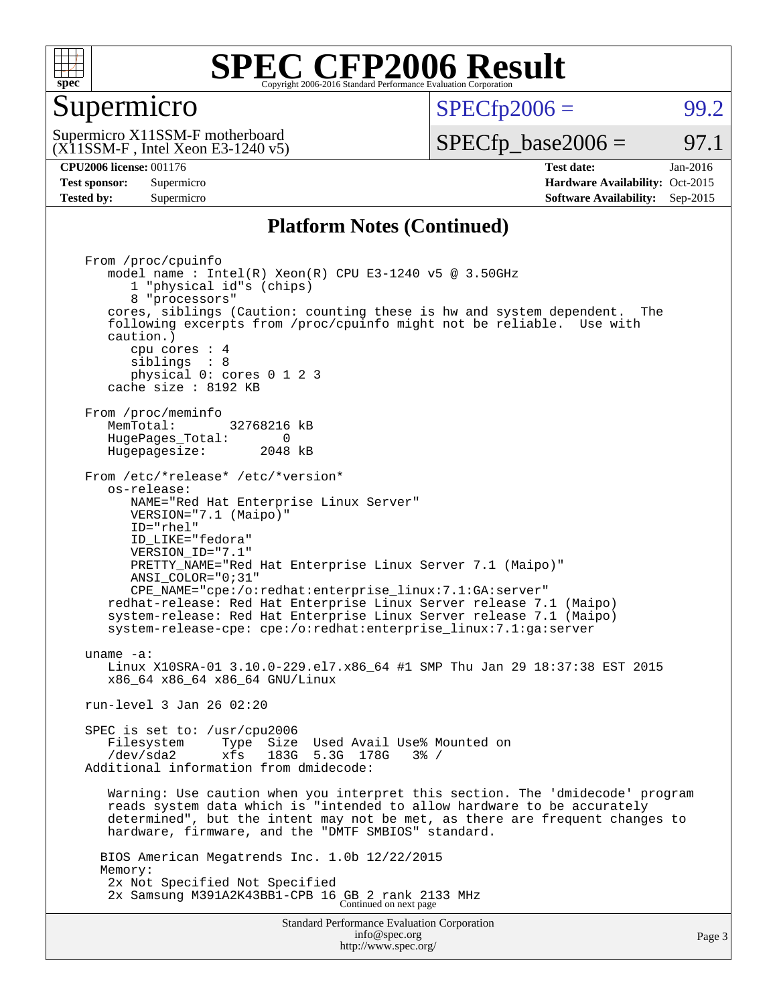

### Supermicro

 $SPECTp2006 =$  99.2

(X11SSM-F , Intel Xeon E3-1240 v5) Supermicro X11SSM-F motherboard

 $SPECTp\_base2006 = 97.1$ 

**[CPU2006 license:](http://www.spec.org/auto/cpu2006/Docs/result-fields.html#CPU2006license)** 001176 **[Test date:](http://www.spec.org/auto/cpu2006/Docs/result-fields.html#Testdate)** Jan-2016 **[Test sponsor:](http://www.spec.org/auto/cpu2006/Docs/result-fields.html#Testsponsor)** Supermicro Supermicro **[Hardware Availability:](http://www.spec.org/auto/cpu2006/Docs/result-fields.html#HardwareAvailability)** Oct-2015 **[Tested by:](http://www.spec.org/auto/cpu2006/Docs/result-fields.html#Testedby)** Supermicro **Supermicro [Software Availability:](http://www.spec.org/auto/cpu2006/Docs/result-fields.html#SoftwareAvailability)** Sep-2015

### **[Platform Notes \(Continued\)](http://www.spec.org/auto/cpu2006/Docs/result-fields.html#PlatformNotes)**

Standard Performance Evaluation Corporation [info@spec.org](mailto:info@spec.org) From /proc/cpuinfo model name : Intel(R) Xeon(R) CPU E3-1240 v5 @ 3.50GHz 1 "physical id"s (chips) 8 "processors" cores, siblings (Caution: counting these is hw and system dependent. The following excerpts from /proc/cpuinfo might not be reliable. Use with caution.) cpu cores : 4 siblings : 8 physical 0: cores 0 1 2 3 cache size : 8192 KB From /proc/meminfo<br>MemTotal: 32768216 kB HugePages\_Total: 0<br>Hugepagesize: 2048 kB Hugepagesize: From /etc/\*release\* /etc/\*version\* os-release: NAME="Red Hat Enterprise Linux Server" VERSION="7.1 (Maipo)" ID="rhel" ID\_LIKE="fedora" VERSION\_ID="7.1" PRETTY\_NAME="Red Hat Enterprise Linux Server 7.1 (Maipo)" ANSI\_COLOR="0;31" CPE\_NAME="cpe:/o:redhat:enterprise\_linux:7.1:GA:server" redhat-release: Red Hat Enterprise Linux Server release 7.1 (Maipo) system-release: Red Hat Enterprise Linux Server release 7.1 (Maipo) system-release-cpe: cpe:/o:redhat:enterprise\_linux:7.1:ga:server uname -a: Linux X10SRA-01 3.10.0-229.el7.x86\_64 #1 SMP Thu Jan 29 18:37:38 EST 2015 x86\_64 x86\_64 x86\_64 GNU/Linux run-level 3 Jan 26 02:20 SPEC is set to: /usr/cpu2006 Filesystem Type Size Used Avail Use% Mounted on<br>  $\frac{1}{2}$  /dev/sda2 xfs 183G 5.3G 178G 3% / Additional information from dmidecode: Warning: Use caution when you interpret this section. The 'dmidecode' program reads system data which is "intended to allow hardware to be accurately determined", but the intent may not be met, as there are frequent changes to hardware, firmware, and the "DMTF SMBIOS" standard. BIOS American Megatrends Inc. 1.0b 12/22/2015 Memory: 2x Not Specified Not Specified 2x Samsung M391A2K43BB1-CPB 16 GB 2 rank 2133 MHz Continued on next page

<http://www.spec.org/>

Page 3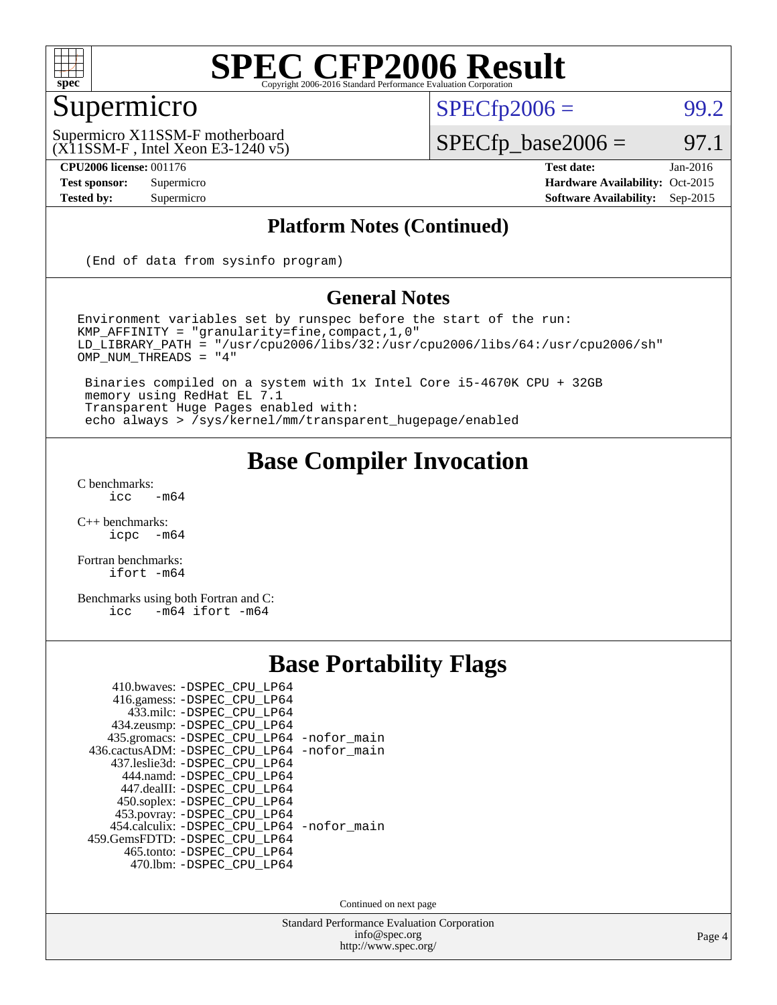

### Supermicro

 $SPECTp2006 = 99.2$ 

(X11SSM-F , Intel Xeon E3-1240 v5) Supermicro X11SSM-F motherboard

**[CPU2006 license:](http://www.spec.org/auto/cpu2006/Docs/result-fields.html#CPU2006license)** 001176 **[Test date:](http://www.spec.org/auto/cpu2006/Docs/result-fields.html#Testdate)** Jan-2016

 $SPECTp\_base2006 = 97.1$ 

**[Test sponsor:](http://www.spec.org/auto/cpu2006/Docs/result-fields.html#Testsponsor)** Supermicro Supermicro **[Hardware Availability:](http://www.spec.org/auto/cpu2006/Docs/result-fields.html#HardwareAvailability)** Oct-2015 **[Tested by:](http://www.spec.org/auto/cpu2006/Docs/result-fields.html#Testedby)** Supermicro **[Software Availability:](http://www.spec.org/auto/cpu2006/Docs/result-fields.html#SoftwareAvailability)** Sep-2015

### **[Platform Notes \(Continued\)](http://www.spec.org/auto/cpu2006/Docs/result-fields.html#PlatformNotes)**

(End of data from sysinfo program)

#### **[General Notes](http://www.spec.org/auto/cpu2006/Docs/result-fields.html#GeneralNotes)**

Environment variables set by runspec before the start of the run: KMP\_AFFINITY = "granularity=fine,compact,1,0" LD\_LIBRARY\_PATH = "/usr/cpu2006/libs/32:/usr/cpu2006/libs/64:/usr/cpu2006/sh" OMP\_NUM\_THREADS = "4"

 Binaries compiled on a system with 1x Intel Core i5-4670K CPU + 32GB memory using RedHat EL 7.1 Transparent Huge Pages enabled with: echo always > /sys/kernel/mm/transparent\_hugepage/enabled

### **[Base Compiler Invocation](http://www.spec.org/auto/cpu2006/Docs/result-fields.html#BaseCompilerInvocation)**

 $C$  benchmarks:<br>icc  $-m64$ 

[C++ benchmarks:](http://www.spec.org/auto/cpu2006/Docs/result-fields.html#CXXbenchmarks) [icpc -m64](http://www.spec.org/cpu2006/results/res2016q1/cpu2006-20160206-38997.flags.html#user_CXXbase_intel_icpc_64bit_bedb90c1146cab66620883ef4f41a67e)

[Fortran benchmarks](http://www.spec.org/auto/cpu2006/Docs/result-fields.html#Fortranbenchmarks): [ifort -m64](http://www.spec.org/cpu2006/results/res2016q1/cpu2006-20160206-38997.flags.html#user_FCbase_intel_ifort_64bit_ee9d0fb25645d0210d97eb0527dcc06e)

[Benchmarks using both Fortran and C](http://www.spec.org/auto/cpu2006/Docs/result-fields.html#BenchmarksusingbothFortranandC): [icc -m64](http://www.spec.org/cpu2006/results/res2016q1/cpu2006-20160206-38997.flags.html#user_CC_FCbase_intel_icc_64bit_0b7121f5ab7cfabee23d88897260401c) [ifort -m64](http://www.spec.org/cpu2006/results/res2016q1/cpu2006-20160206-38997.flags.html#user_CC_FCbase_intel_ifort_64bit_ee9d0fb25645d0210d97eb0527dcc06e)

### **[Base Portability Flags](http://www.spec.org/auto/cpu2006/Docs/result-fields.html#BasePortabilityFlags)**

| 410.bwaves: -DSPEC CPU LP64<br>416.gamess: -DSPEC_CPU_LP64 |  |
|------------------------------------------------------------|--|
| 433.milc: -DSPEC CPU LP64                                  |  |
| 434.zeusmp: -DSPEC_CPU_LP64                                |  |
| 435.gromacs: -DSPEC_CPU_LP64 -nofor_main                   |  |
| 436.cactusADM: -DSPEC CPU LP64 -nofor main                 |  |
| 437.leslie3d: -DSPEC_CPU LP64                              |  |
| 444.namd: -DSPEC CPU LP64                                  |  |
| 447.dealII: -DSPEC CPU LP64                                |  |
| 450.soplex: -DSPEC_CPU_LP64                                |  |
| 453.povray: -DSPEC_CPU_LP64                                |  |
| 454.calculix: -DSPEC CPU LP64 -nofor main                  |  |
| 459. GemsFDTD: - DSPEC CPU LP64                            |  |
| 465.tonto: - DSPEC_CPU_LP64                                |  |
| 470.1bm: - DSPEC CPU LP64                                  |  |

Continued on next page

Standard Performance Evaluation Corporation [info@spec.org](mailto:info@spec.org) <http://www.spec.org/>

Page 4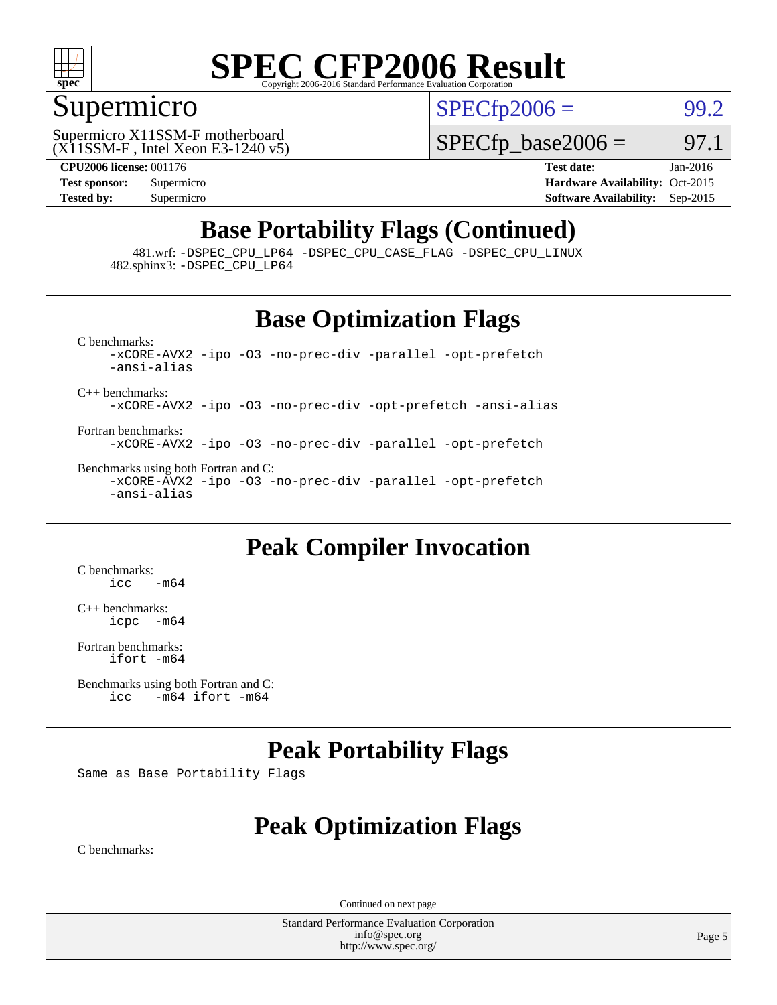

### Supermicro

 $SPECTp2006 = 99.2$ 

(X11SSM-F , Intel Xeon E3-1240 v5) Supermicro X11SSM-F motherboard

 $SPECTp\_base2006 = 97.1$ 

**[CPU2006 license:](http://www.spec.org/auto/cpu2006/Docs/result-fields.html#CPU2006license)** 001176 **[Test date:](http://www.spec.org/auto/cpu2006/Docs/result-fields.html#Testdate)** Jan-2016 **[Test sponsor:](http://www.spec.org/auto/cpu2006/Docs/result-fields.html#Testsponsor)** Supermicro Supermicro **[Hardware Availability:](http://www.spec.org/auto/cpu2006/Docs/result-fields.html#HardwareAvailability)** Oct-2015 **[Tested by:](http://www.spec.org/auto/cpu2006/Docs/result-fields.html#Testedby)** Supermicro **Supermicro [Software Availability:](http://www.spec.org/auto/cpu2006/Docs/result-fields.html#SoftwareAvailability)** Sep-2015

### **[Base Portability Flags \(Continued\)](http://www.spec.org/auto/cpu2006/Docs/result-fields.html#BasePortabilityFlags)**

 481.wrf: [-DSPEC\\_CPU\\_LP64](http://www.spec.org/cpu2006/results/res2016q1/cpu2006-20160206-38997.flags.html#suite_basePORTABILITY481_wrf_DSPEC_CPU_LP64) [-DSPEC\\_CPU\\_CASE\\_FLAG](http://www.spec.org/cpu2006/results/res2016q1/cpu2006-20160206-38997.flags.html#b481.wrf_baseCPORTABILITY_DSPEC_CPU_CASE_FLAG) [-DSPEC\\_CPU\\_LINUX](http://www.spec.org/cpu2006/results/res2016q1/cpu2006-20160206-38997.flags.html#b481.wrf_baseCPORTABILITY_DSPEC_CPU_LINUX) 482.sphinx3: [-DSPEC\\_CPU\\_LP64](http://www.spec.org/cpu2006/results/res2016q1/cpu2006-20160206-38997.flags.html#suite_basePORTABILITY482_sphinx3_DSPEC_CPU_LP64)

### **[Base Optimization Flags](http://www.spec.org/auto/cpu2006/Docs/result-fields.html#BaseOptimizationFlags)**

[C benchmarks](http://www.spec.org/auto/cpu2006/Docs/result-fields.html#Cbenchmarks): [-xCORE-AVX2](http://www.spec.org/cpu2006/results/res2016q1/cpu2006-20160206-38997.flags.html#user_CCbase_f-xAVX2_5f5fc0cbe2c9f62c816d3e45806c70d7) [-ipo](http://www.spec.org/cpu2006/results/res2016q1/cpu2006-20160206-38997.flags.html#user_CCbase_f-ipo) [-O3](http://www.spec.org/cpu2006/results/res2016q1/cpu2006-20160206-38997.flags.html#user_CCbase_f-O3) [-no-prec-div](http://www.spec.org/cpu2006/results/res2016q1/cpu2006-20160206-38997.flags.html#user_CCbase_f-no-prec-div) [-parallel](http://www.spec.org/cpu2006/results/res2016q1/cpu2006-20160206-38997.flags.html#user_CCbase_f-parallel) [-opt-prefetch](http://www.spec.org/cpu2006/results/res2016q1/cpu2006-20160206-38997.flags.html#user_CCbase_f-opt-prefetch) [-ansi-alias](http://www.spec.org/cpu2006/results/res2016q1/cpu2006-20160206-38997.flags.html#user_CCbase_f-ansi-alias) [C++ benchmarks:](http://www.spec.org/auto/cpu2006/Docs/result-fields.html#CXXbenchmarks) [-xCORE-AVX2](http://www.spec.org/cpu2006/results/res2016q1/cpu2006-20160206-38997.flags.html#user_CXXbase_f-xAVX2_5f5fc0cbe2c9f62c816d3e45806c70d7) [-ipo](http://www.spec.org/cpu2006/results/res2016q1/cpu2006-20160206-38997.flags.html#user_CXXbase_f-ipo) [-O3](http://www.spec.org/cpu2006/results/res2016q1/cpu2006-20160206-38997.flags.html#user_CXXbase_f-O3) [-no-prec-div](http://www.spec.org/cpu2006/results/res2016q1/cpu2006-20160206-38997.flags.html#user_CXXbase_f-no-prec-div) [-opt-prefetch](http://www.spec.org/cpu2006/results/res2016q1/cpu2006-20160206-38997.flags.html#user_CXXbase_f-opt-prefetch) [-ansi-alias](http://www.spec.org/cpu2006/results/res2016q1/cpu2006-20160206-38997.flags.html#user_CXXbase_f-ansi-alias)

[Fortran benchmarks](http://www.spec.org/auto/cpu2006/Docs/result-fields.html#Fortranbenchmarks): [-xCORE-AVX2](http://www.spec.org/cpu2006/results/res2016q1/cpu2006-20160206-38997.flags.html#user_FCbase_f-xAVX2_5f5fc0cbe2c9f62c816d3e45806c70d7) [-ipo](http://www.spec.org/cpu2006/results/res2016q1/cpu2006-20160206-38997.flags.html#user_FCbase_f-ipo) [-O3](http://www.spec.org/cpu2006/results/res2016q1/cpu2006-20160206-38997.flags.html#user_FCbase_f-O3) [-no-prec-div](http://www.spec.org/cpu2006/results/res2016q1/cpu2006-20160206-38997.flags.html#user_FCbase_f-no-prec-div) [-parallel](http://www.spec.org/cpu2006/results/res2016q1/cpu2006-20160206-38997.flags.html#user_FCbase_f-parallel) [-opt-prefetch](http://www.spec.org/cpu2006/results/res2016q1/cpu2006-20160206-38997.flags.html#user_FCbase_f-opt-prefetch)

[Benchmarks using both Fortran and C](http://www.spec.org/auto/cpu2006/Docs/result-fields.html#BenchmarksusingbothFortranandC): [-xCORE-AVX2](http://www.spec.org/cpu2006/results/res2016q1/cpu2006-20160206-38997.flags.html#user_CC_FCbase_f-xAVX2_5f5fc0cbe2c9f62c816d3e45806c70d7) [-ipo](http://www.spec.org/cpu2006/results/res2016q1/cpu2006-20160206-38997.flags.html#user_CC_FCbase_f-ipo) [-O3](http://www.spec.org/cpu2006/results/res2016q1/cpu2006-20160206-38997.flags.html#user_CC_FCbase_f-O3) [-no-prec-div](http://www.spec.org/cpu2006/results/res2016q1/cpu2006-20160206-38997.flags.html#user_CC_FCbase_f-no-prec-div) [-parallel](http://www.spec.org/cpu2006/results/res2016q1/cpu2006-20160206-38997.flags.html#user_CC_FCbase_f-parallel) [-opt-prefetch](http://www.spec.org/cpu2006/results/res2016q1/cpu2006-20160206-38997.flags.html#user_CC_FCbase_f-opt-prefetch) [-ansi-alias](http://www.spec.org/cpu2006/results/res2016q1/cpu2006-20160206-38997.flags.html#user_CC_FCbase_f-ansi-alias)

### **[Peak Compiler Invocation](http://www.spec.org/auto/cpu2006/Docs/result-fields.html#PeakCompilerInvocation)**

[C benchmarks](http://www.spec.org/auto/cpu2006/Docs/result-fields.html#Cbenchmarks):  $\text{icc}$   $-\text{m64}$ 

[C++ benchmarks:](http://www.spec.org/auto/cpu2006/Docs/result-fields.html#CXXbenchmarks) [icpc -m64](http://www.spec.org/cpu2006/results/res2016q1/cpu2006-20160206-38997.flags.html#user_CXXpeak_intel_icpc_64bit_bedb90c1146cab66620883ef4f41a67e)

[Fortran benchmarks](http://www.spec.org/auto/cpu2006/Docs/result-fields.html#Fortranbenchmarks): [ifort -m64](http://www.spec.org/cpu2006/results/res2016q1/cpu2006-20160206-38997.flags.html#user_FCpeak_intel_ifort_64bit_ee9d0fb25645d0210d97eb0527dcc06e)

[Benchmarks using both Fortran and C](http://www.spec.org/auto/cpu2006/Docs/result-fields.html#BenchmarksusingbothFortranandC):<br>icc -m64 if ort -m64  $-m64$  ifort  $-m64$ 

### **[Peak Portability Flags](http://www.spec.org/auto/cpu2006/Docs/result-fields.html#PeakPortabilityFlags)**

Same as Base Portability Flags

### **[Peak Optimization Flags](http://www.spec.org/auto/cpu2006/Docs/result-fields.html#PeakOptimizationFlags)**

[C benchmarks](http://www.spec.org/auto/cpu2006/Docs/result-fields.html#Cbenchmarks):

Continued on next page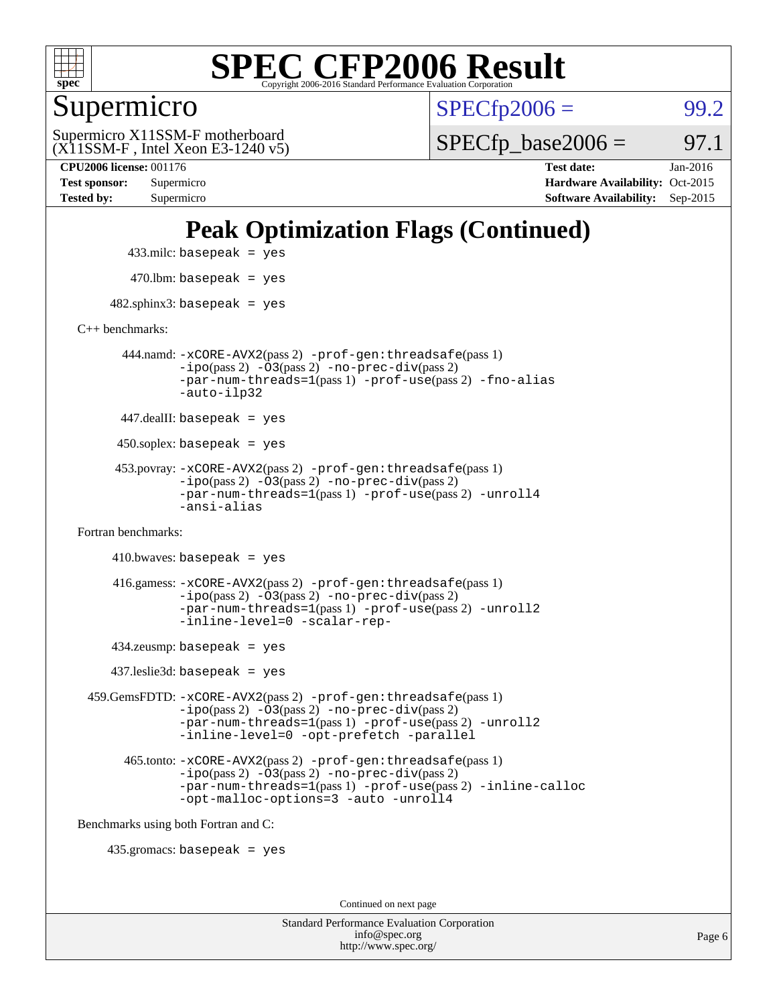

### Supermicro

 $SPECTp2006 =$  99.2

(X11SSM-F , Intel Xeon E3-1240 v5) Supermicro X11SSM-F motherboard

 $SPECTp\_base2006 =$  97.1

**[CPU2006 license:](http://www.spec.org/auto/cpu2006/Docs/result-fields.html#CPU2006license)** 001176 **[Test date:](http://www.spec.org/auto/cpu2006/Docs/result-fields.html#Testdate)** Jan-2016 **[Test sponsor:](http://www.spec.org/auto/cpu2006/Docs/result-fields.html#Testsponsor)** Supermicro Supermicro **[Hardware Availability:](http://www.spec.org/auto/cpu2006/Docs/result-fields.html#HardwareAvailability)** Oct-2015 **[Tested by:](http://www.spec.org/auto/cpu2006/Docs/result-fields.html#Testedby)** Supermicro **[Software Availability:](http://www.spec.org/auto/cpu2006/Docs/result-fields.html#SoftwareAvailability)** Sep-2015

### **[Peak Optimization Flags \(Continued\)](http://www.spec.org/auto/cpu2006/Docs/result-fields.html#PeakOptimizationFlags)**

 433.milc: basepeak = yes  $470$ .lbm: basepeak = yes

 $482$ .sphinx3: basepeak = yes

[C++ benchmarks:](http://www.spec.org/auto/cpu2006/Docs/result-fields.html#CXXbenchmarks)

 444.namd: [-xCORE-AVX2](http://www.spec.org/cpu2006/results/res2016q1/cpu2006-20160206-38997.flags.html#user_peakPASS2_CXXFLAGSPASS2_LDFLAGS444_namd_f-xAVX2_5f5fc0cbe2c9f62c816d3e45806c70d7)(pass 2) [-prof-gen:threadsafe](http://www.spec.org/cpu2006/results/res2016q1/cpu2006-20160206-38997.flags.html#user_peakPASS1_CXXFLAGSPASS1_LDFLAGS444_namd_prof_gen_21a26eb79f378b550acd7bec9fe4467a)(pass 1) [-ipo](http://www.spec.org/cpu2006/results/res2016q1/cpu2006-20160206-38997.flags.html#user_peakPASS2_CXXFLAGSPASS2_LDFLAGS444_namd_f-ipo)(pass 2) [-O3](http://www.spec.org/cpu2006/results/res2016q1/cpu2006-20160206-38997.flags.html#user_peakPASS2_CXXFLAGSPASS2_LDFLAGS444_namd_f-O3)(pass 2) [-no-prec-div](http://www.spec.org/cpu2006/results/res2016q1/cpu2006-20160206-38997.flags.html#user_peakPASS2_CXXFLAGSPASS2_LDFLAGS444_namd_f-no-prec-div)(pass 2) [-par-num-threads=1](http://www.spec.org/cpu2006/results/res2016q1/cpu2006-20160206-38997.flags.html#user_peakPASS1_CXXFLAGSPASS1_LDFLAGS444_namd_par_num_threads_786a6ff141b4e9e90432e998842df6c2)(pass 1) [-prof-use](http://www.spec.org/cpu2006/results/res2016q1/cpu2006-20160206-38997.flags.html#user_peakPASS2_CXXFLAGSPASS2_LDFLAGS444_namd_prof_use_bccf7792157ff70d64e32fe3e1250b55)(pass 2) [-fno-alias](http://www.spec.org/cpu2006/results/res2016q1/cpu2006-20160206-38997.flags.html#user_peakCXXOPTIMIZEOPTIMIZE444_namd_f-no-alias_694e77f6c5a51e658e82ccff53a9e63a) [-auto-ilp32](http://www.spec.org/cpu2006/results/res2016q1/cpu2006-20160206-38997.flags.html#user_peakCXXOPTIMIZE444_namd_f-auto-ilp32)

447.dealII: basepeak = yes

 $450$ .soplex: basepeak = yes

 453.povray: [-xCORE-AVX2](http://www.spec.org/cpu2006/results/res2016q1/cpu2006-20160206-38997.flags.html#user_peakPASS2_CXXFLAGSPASS2_LDFLAGS453_povray_f-xAVX2_5f5fc0cbe2c9f62c816d3e45806c70d7)(pass 2) [-prof-gen:threadsafe](http://www.spec.org/cpu2006/results/res2016q1/cpu2006-20160206-38997.flags.html#user_peakPASS1_CXXFLAGSPASS1_LDFLAGS453_povray_prof_gen_21a26eb79f378b550acd7bec9fe4467a)(pass 1)  $-ipo(pass 2) -\overline{O3(pass 2)}$  $-ipo(pass 2) -\overline{O3(pass 2)}$  [-no-prec-div](http://www.spec.org/cpu2006/results/res2016q1/cpu2006-20160206-38997.flags.html#user_peakPASS2_CXXFLAGSPASS2_LDFLAGS453_povray_f-no-prec-div)(pass 2) [-par-num-threads=1](http://www.spec.org/cpu2006/results/res2016q1/cpu2006-20160206-38997.flags.html#user_peakPASS1_CXXFLAGSPASS1_LDFLAGS453_povray_par_num_threads_786a6ff141b4e9e90432e998842df6c2)(pass 1) [-prof-use](http://www.spec.org/cpu2006/results/res2016q1/cpu2006-20160206-38997.flags.html#user_peakPASS2_CXXFLAGSPASS2_LDFLAGS453_povray_prof_use_bccf7792157ff70d64e32fe3e1250b55)(pass 2) [-unroll4](http://www.spec.org/cpu2006/results/res2016q1/cpu2006-20160206-38997.flags.html#user_peakCXXOPTIMIZE453_povray_f-unroll_4e5e4ed65b7fd20bdcd365bec371b81f) [-ansi-alias](http://www.spec.org/cpu2006/results/res2016q1/cpu2006-20160206-38997.flags.html#user_peakCXXOPTIMIZE453_povray_f-ansi-alias)

[Fortran benchmarks](http://www.spec.org/auto/cpu2006/Docs/result-fields.html#Fortranbenchmarks):

```
410.bwaves: basepeak = yes 416.gamess: -xCORE-AVX2(pass 2) -prof-gen:threadsafe(pass 1)
-i\text{po}(pass 2) -\tilde{O}3(pass 2)-no-prec-div(pass 2)
-par-num-threads=1(pass 1) -prof-use(pass 2) -unroll2
-inline-level=0 -scalar-rep-
```
434.zeusmp: basepeak = yes

437.leslie3d: basepeak = yes

 459.GemsFDTD: [-xCORE-AVX2](http://www.spec.org/cpu2006/results/res2016q1/cpu2006-20160206-38997.flags.html#user_peakPASS2_FFLAGSPASS2_LDFLAGS459_GemsFDTD_f-xAVX2_5f5fc0cbe2c9f62c816d3e45806c70d7)(pass 2) [-prof-gen:threadsafe](http://www.spec.org/cpu2006/results/res2016q1/cpu2006-20160206-38997.flags.html#user_peakPASS1_FFLAGSPASS1_LDFLAGS459_GemsFDTD_prof_gen_21a26eb79f378b550acd7bec9fe4467a)(pass 1) [-ipo](http://www.spec.org/cpu2006/results/res2016q1/cpu2006-20160206-38997.flags.html#user_peakPASS2_FFLAGSPASS2_LDFLAGS459_GemsFDTD_f-ipo)(pass 2) [-O3](http://www.spec.org/cpu2006/results/res2016q1/cpu2006-20160206-38997.flags.html#user_peakPASS2_FFLAGSPASS2_LDFLAGS459_GemsFDTD_f-O3)(pass 2) [-no-prec-div](http://www.spec.org/cpu2006/results/res2016q1/cpu2006-20160206-38997.flags.html#user_peakPASS2_FFLAGSPASS2_LDFLAGS459_GemsFDTD_f-no-prec-div)(pass 2) [-par-num-threads=1](http://www.spec.org/cpu2006/results/res2016q1/cpu2006-20160206-38997.flags.html#user_peakPASS1_FFLAGSPASS1_LDFLAGS459_GemsFDTD_par_num_threads_786a6ff141b4e9e90432e998842df6c2)(pass 1) [-prof-use](http://www.spec.org/cpu2006/results/res2016q1/cpu2006-20160206-38997.flags.html#user_peakPASS2_FFLAGSPASS2_LDFLAGS459_GemsFDTD_prof_use_bccf7792157ff70d64e32fe3e1250b55)(pass 2) [-unroll2](http://www.spec.org/cpu2006/results/res2016q1/cpu2006-20160206-38997.flags.html#user_peakOPTIMIZE459_GemsFDTD_f-unroll_784dae83bebfb236979b41d2422d7ec2) [-inline-level=0](http://www.spec.org/cpu2006/results/res2016q1/cpu2006-20160206-38997.flags.html#user_peakOPTIMIZE459_GemsFDTD_f-inline-level_318d07a09274ad25e8d15dbfaa68ba50) [-opt-prefetch](http://www.spec.org/cpu2006/results/res2016q1/cpu2006-20160206-38997.flags.html#user_peakOPTIMIZE459_GemsFDTD_f-opt-prefetch) [-parallel](http://www.spec.org/cpu2006/results/res2016q1/cpu2006-20160206-38997.flags.html#user_peakOPTIMIZE459_GemsFDTD_f-parallel)

 465.tonto: [-xCORE-AVX2](http://www.spec.org/cpu2006/results/res2016q1/cpu2006-20160206-38997.flags.html#user_peakPASS2_FFLAGSPASS2_LDFLAGS465_tonto_f-xAVX2_5f5fc0cbe2c9f62c816d3e45806c70d7)(pass 2) [-prof-gen:threadsafe](http://www.spec.org/cpu2006/results/res2016q1/cpu2006-20160206-38997.flags.html#user_peakPASS1_FFLAGSPASS1_LDFLAGS465_tonto_prof_gen_21a26eb79f378b550acd7bec9fe4467a)(pass 1)  $-i\text{po}(pass 2) -\overline{0}3(pass 2) -no-prec-div(pass 2)$  $-i\text{po}(pass 2) -\overline{0}3(pass 2) -no-prec-div(pass 2)$  $-i\text{po}(pass 2) -\overline{0}3(pass 2) -no-prec-div(pass 2)$ [-par-num-threads=1](http://www.spec.org/cpu2006/results/res2016q1/cpu2006-20160206-38997.flags.html#user_peakPASS1_FFLAGSPASS1_LDFLAGS465_tonto_par_num_threads_786a6ff141b4e9e90432e998842df6c2)(pass 1) [-prof-use](http://www.spec.org/cpu2006/results/res2016q1/cpu2006-20160206-38997.flags.html#user_peakPASS2_FFLAGSPASS2_LDFLAGS465_tonto_prof_use_bccf7792157ff70d64e32fe3e1250b55)(pass 2) [-inline-calloc](http://www.spec.org/cpu2006/results/res2016q1/cpu2006-20160206-38997.flags.html#user_peakOPTIMIZE465_tonto_f-inline-calloc) [-opt-malloc-options=3](http://www.spec.org/cpu2006/results/res2016q1/cpu2006-20160206-38997.flags.html#user_peakOPTIMIZE465_tonto_f-opt-malloc-options_13ab9b803cf986b4ee62f0a5998c2238) [-auto](http://www.spec.org/cpu2006/results/res2016q1/cpu2006-20160206-38997.flags.html#user_peakOPTIMIZE465_tonto_f-auto) [-unroll4](http://www.spec.org/cpu2006/results/res2016q1/cpu2006-20160206-38997.flags.html#user_peakOPTIMIZE465_tonto_f-unroll_4e5e4ed65b7fd20bdcd365bec371b81f)

[Benchmarks using both Fortran and C](http://www.spec.org/auto/cpu2006/Docs/result-fields.html#BenchmarksusingbothFortranandC):

435.gromacs: basepeak = yes

Continued on next page